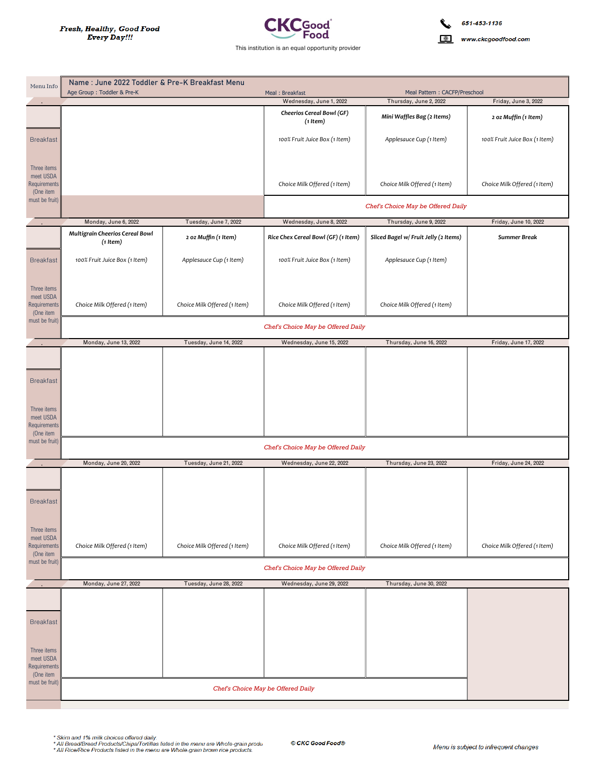

www.ckcgoodfood.com

| Menu Info                                                                 | Name: June 2022 Toddler & Pre-K Breakfast Menu<br>Age Group: Toddler & Pre-K |                              | Meal Pattern: CACFP/Preschool<br>Meal: Breakfast |                                                  |                               |  |  |
|---------------------------------------------------------------------------|------------------------------------------------------------------------------|------------------------------|--------------------------------------------------|--------------------------------------------------|-------------------------------|--|--|
|                                                                           |                                                                              |                              | Wednesday, June 1, 2022                          | Thursday, June 2, 2022<br>Friday, June 3, 2022   |                               |  |  |
|                                                                           |                                                                              |                              | Cheerios Cereal Bowl (GF)<br>$(1$ Item $)$       | Mini Waffles Bag (2 Items)                       | 2 oz Muffin (1 Item)          |  |  |
| <b>Breakfast</b>                                                          |                                                                              |                              | 100% Fruit Juice Box (1 Item)                    | Applesauce Cup (1 Item)                          | 100% Fruit Juice Box (1 Item) |  |  |
| Three items<br>meet USDA<br>Requirements<br>(One item<br>must be fruit)   |                                                                              |                              | Choice Milk Offered (1 Item)                     | Choice Milk Offered (1 Item)                     | Choice Milk Offered (1 Item)  |  |  |
|                                                                           |                                                                              |                              | Chef's Choice May be Offered Daily               |                                                  |                               |  |  |
|                                                                           | Monday, June 6, 2022                                                         | Tuesday, June 7, 2022        | Wednesday, June 8, 2022                          | Thursday, June 9, 2022                           | Friday, June 10, 2022         |  |  |
|                                                                           | Multigrain Cheerios Cereal Bowl<br>$(1$ Item $)$                             | 2 oz Muffin (1 Item)         | Rice Chex Cereal Bowl (GF) (1 Item)              | Sliced Bagel w/ Fruit Jelly (2 Items)            | <b>Summer Break</b>           |  |  |
| <b>Breakfast</b>                                                          | 100% Fruit Juice Box (1 Item)                                                | Applesauce Cup (1 Item)      | 100% Fruit Juice Box (1 Item)                    | Applesauce Cup (1 Item)                          |                               |  |  |
| Three items<br>meet USDA<br>Requirements<br>(One item                     | Choice Milk Offered (1 Item)                                                 | Choice Milk Offered (1 Item) | Choice Milk Offered (1 Item)                     | Choice Milk Offered (1 Item)                     |                               |  |  |
| must be fruit)                                                            | Chef's Choice May be Offered Daily                                           |                              |                                                  |                                                  |                               |  |  |
|                                                                           | Monday, June 13, 2022                                                        | Tuesday, June 14, 2022       | Wednesday, June 15, 2022                         | Thursday, June 16, 2022<br>Friday, June 17, 2022 |                               |  |  |
| <b>Breakfast</b><br>Three items<br>meet USDA<br>Requirements<br>(One item |                                                                              |                              |                                                  |                                                  |                               |  |  |
| must be fruit)                                                            |                                                                              |                              | Chef's Choice May be Offered Daily               |                                                  |                               |  |  |
|                                                                           | Monday, June 20, 2022                                                        | Tuesday, June 21, 2022       | Wednesday, June 22, 2022                         | Thursday, June 23, 2022                          | Friday, June 24, 2022         |  |  |
| <b>Breakfast</b>                                                          |                                                                              |                              |                                                  |                                                  |                               |  |  |
| Three items<br>meet USDA<br>Requirements<br>(One item                     | Choice Milk Offered (1 Item)                                                 | Choice Milk Offered (1 Item) | Choice Milk Offered (1 Item)                     | Choice Milk Offered (1 Item)                     | Choice Milk Offered (1 Item)  |  |  |
| must be fruit)                                                            | Chef's Choice May be Offered Daily                                           |                              |                                                  |                                                  |                               |  |  |
|                                                                           | Monday, June 27, 2022                                                        | Tuesday, June 28, 2022       | Wednesday, June 29, 2022                         | Thursday, June 30, 2022                          |                               |  |  |
| <b>Breakfast</b>                                                          |                                                                              |                              |                                                  |                                                  |                               |  |  |
| Three items<br>meet USDA<br>Requirements<br>(One item                     |                                                                              |                              |                                                  |                                                  |                               |  |  |
| must be fruit)                                                            | Chef's Choice May be Offered Daily                                           |                              |                                                  |                                                  |                               |  |  |

\* Skim and 1% milk choices offered daily.<br>\* All Bread/Bread Products/Chips/Tortillas listed in the menu are Whole-grain produ<br>\* All Rice/Rice Products listed in the menu are Whole-grain brown rice products.